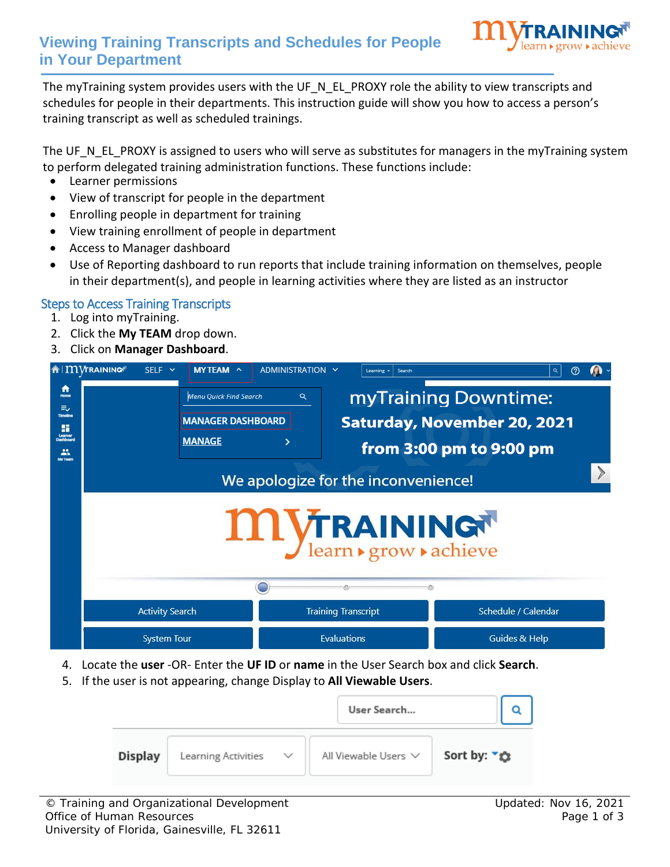

## **Viewing Training Transcripts and Schedules for People in Your Department**

The myTraining system provides users with the UF\_N\_EL\_PROXY role the ability to view transcripts and schedules for people in their departments. This instruction guide will show you how to access a person's training transcript as well as scheduled trainings.

The UF\_N\_EL\_PROXY is assigned to users who will serve as substitutes for managers in the myTraining system to perform delegated training administration functions. These functions include:

- Learner permissions
- View of transcript for people in the department
- Enrolling people in department for training
- View training enrollment of people in department
- Access to Manager dashboard
- Use of Reporting dashboard to run reports that include training information on themselves, people in their department(s), and people in learning activities where they are listed as an instructor

## Steps to Access Training Transcripts

- 1. Log into myTraining.
- 2. Click the **My TEAM** drop down.
- 3. Click on **Manager Dashboard**.



- 4. Locate the **user** -OR- Enter the **UF ID** or **name** in the User Search box and click **Search**.
- 5. If the user is not appearing, change Display to **All Viewable Users**.

|                |                     |              | User Search               |                         |
|----------------|---------------------|--------------|---------------------------|-------------------------|
| <b>Display</b> | Learning Activities | $\checkmark$ | All Viewable Users $\vee$ | Sort by: ₹ <del>©</del> |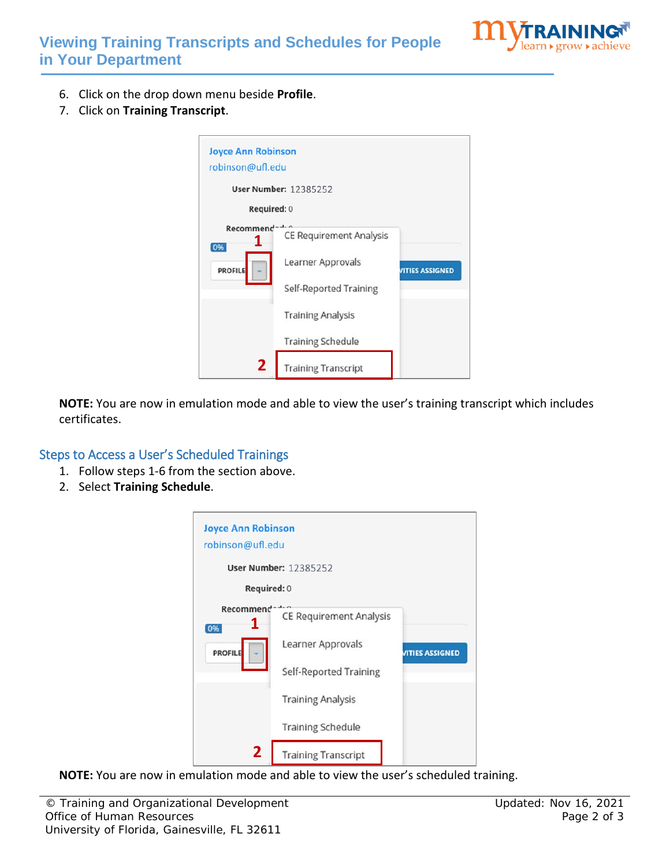

- 6. Click on the drop down menu beside **Profile**.
- 7. Click on **Training Transcript**.

| <b>Joyce Ann Robinson</b><br>robinson@ufl.edu |                                                                                    |                        |
|-----------------------------------------------|------------------------------------------------------------------------------------|------------------------|
| Required: 0                                   | <b>User Number: 12385252</b>                                                       |                        |
| Recommend<br>1<br>0%<br><b>PROFILE</b>        | <b>CE Requirement Analysis</b><br>Learner Approvals<br>Self-Reported Training      | <b>VITIES ASSIGNED</b> |
| 2                                             | <b>Training Analysis</b><br><b>Training Schedule</b><br><b>Training Transcript</b> |                        |

**NOTE:** You are now in emulation mode and able to view the user's training transcript which includes certificates.

## Steps to Access a User's Scheduled Trainings

- 1. Follow steps 1-6 from the section above.
- 2. Select **Training Schedule**.

| <b>Joyce Ann Robinson</b><br>robinson@ufl.edu |                                |                        |
|-----------------------------------------------|--------------------------------|------------------------|
|                                               | <b>User Number: 12385252</b>   |                        |
| Required: 0                                   |                                |                        |
| Recommend <sup>-</sup><br>1<br> 096           | <b>CE Requirement Analysis</b> |                        |
| <b>PROFILE</b>                                | Learner Approvals              | <b>VITIES ASSIGNED</b> |
|                                               | Self-Reported Training         |                        |
|                                               | <b>Training Analysis</b>       |                        |
|                                               | <b>Training Schedule</b>       |                        |
| $\overline{2}$                                | <b>Training Transcript</b>     |                        |

**NOTE:** You are now in emulation mode and able to view the user's scheduled training.